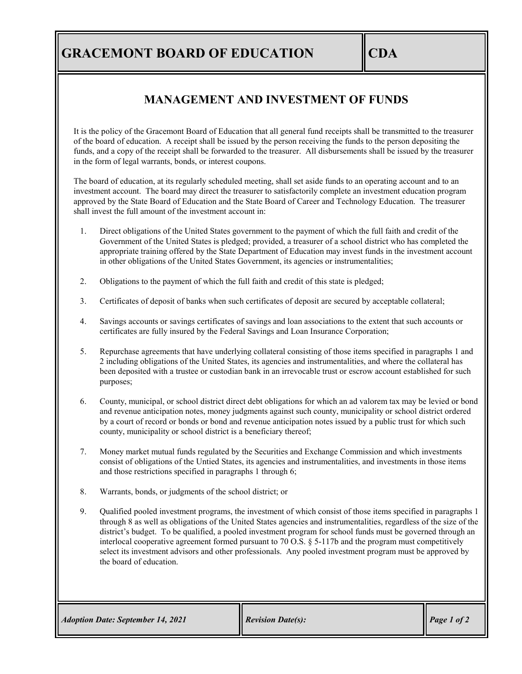## **GRACEMONT BOARD OF EDUCATION CDA**

## **MANAGEMENT AND INVESTMENT OF FUNDS**

It is the policy of the Gracemont Board of Education that all general fund receipts shall be transmitted to the treasurer of the board of education. A receipt shall be issued by the person receiving the funds to the person depositing the funds, and a copy of the receipt shall be forwarded to the treasurer. All disbursements shall be issued by the treasurer in the form of legal warrants, bonds, or interest coupons.

The board of education, at its regularly scheduled meeting, shall set aside funds to an operating account and to an investment account. The board may direct the treasurer to satisfactorily complete an investment education program approved by the State Board of Education and the State Board of Career and Technology Education. The treasurer shall invest the full amount of the investment account in:

- 1. Direct obligations of the United States government to the payment of which the full faith and credit of the Government of the United States is pledged; provided, a treasurer of a school district who has completed the appropriate training offered by the State Department of Education may invest funds in the investment account in other obligations of the United States Government, its agencies or instrumentalities;
- 2. Obligations to the payment of which the full faith and credit of this state is pledged;
- 3. Certificates of deposit of banks when such certificates of deposit are secured by acceptable collateral;
- 4. Savings accounts or savings certificates of savings and loan associations to the extent that such accounts or certificates are fully insured by the Federal Savings and Loan Insurance Corporation;
- 5. Repurchase agreements that have underlying collateral consisting of those items specified in paragraphs 1 and 2 including obligations of the United States, its agencies and instrumentalities, and where the collateral has been deposited with a trustee or custodian bank in an irrevocable trust or escrow account established for such purposes;
- 6. County, municipal, or school district direct debt obligations for which an ad valorem tax may be levied or bond and revenue anticipation notes, money judgments against such county, municipality or school district ordered by a court of record or bonds or bond and revenue anticipation notes issued by a public trust for which such county, municipality or school district is a beneficiary thereof;
- 7. Money market mutual funds regulated by the Securities and Exchange Commission and which investments consist of obligations of the Untied States, its agencies and instrumentalities, and investments in those items and those restrictions specified in paragraphs 1 through 6;
- 8. Warrants, bonds, or judgments of the school district; or
- 9. Qualified pooled investment programs, the investment of which consist of those items specified in paragraphs 1 through 8 as well as obligations of the United States agencies and instrumentalities, regardless of the size of the district's budget. To be qualified, a pooled investment program for school funds must be governed through an interlocal cooperative agreement formed pursuant to 70 O.S. § 5-117b and the program must competitively select its investment advisors and other professionals. Any pooled investment program must be approved by the board of education.